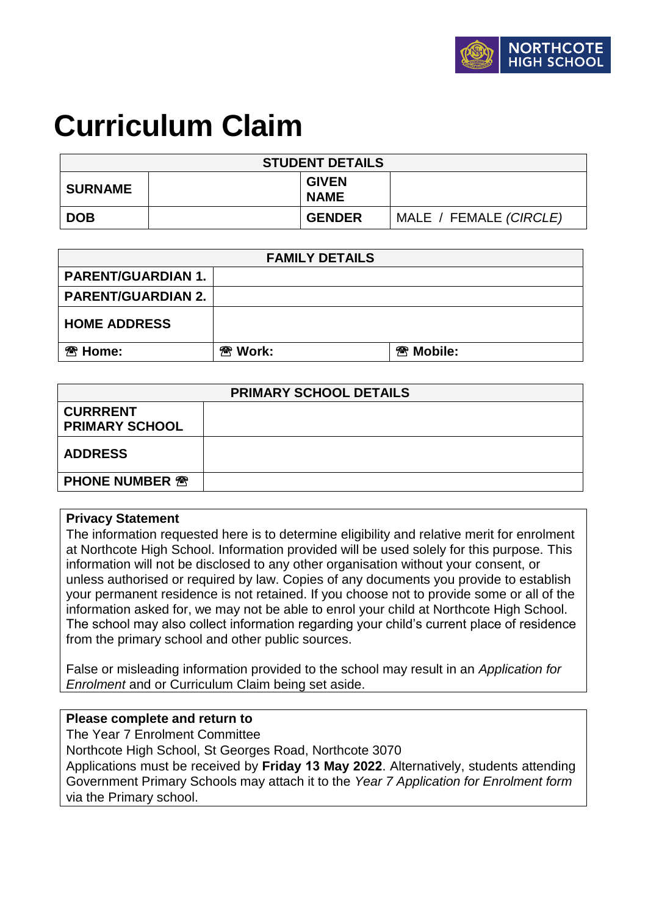# **Curriculum Claim**

| <b>STUDENT DETAILS</b> |  |                             |                        |  |  |
|------------------------|--|-----------------------------|------------------------|--|--|
| <b>SURNAME</b>         |  | <b>GIVEN</b><br><b>NAME</b> |                        |  |  |
| <b>DOB</b>             |  | <b>GENDER</b>               | MALE / FEMALE (CIRCLE) |  |  |

| <b>FAMILY DETAILS</b>     |                    |                                 |  |  |  |
|---------------------------|--------------------|---------------------------------|--|--|--|
| <b>PARENT/GUARDIAN 1.</b> |                    |                                 |  |  |  |
| <b>PARENT/GUARDIAN 2.</b> |                    |                                 |  |  |  |
| <b>HOME ADDRESS</b>       |                    |                                 |  |  |  |
| <sup>®</sup> Home:        | <sup>®</sup> Work: | <sup><sup>3</sup> Mobile:</sup> |  |  |  |

| <b>PRIMARY SCHOOL DETAILS</b>            |  |  |  |  |
|------------------------------------------|--|--|--|--|
| <b>CURRRENT</b><br><b>PRIMARY SCHOOL</b> |  |  |  |  |
| <b>ADDRESS</b>                           |  |  |  |  |
| <b>PHONE NUMBER <sup>®</sup></b>         |  |  |  |  |

#### **Privacy Statement**

The information requested here is to determine eligibility and relative merit for enrolment at Northcote High School. Information provided will be used solely for this purpose. This information will not be disclosed to any other organisation without your consent, or unless authorised or required by law. Copies of any documents you provide to establish your permanent residence is not retained. If you choose not to provide some or all of the information asked for, we may not be able to enrol your child at Northcote High School. The school may also collect information regarding your child's current place of residence from the primary school and other public sources.

False or misleading information provided to the school may result in an *Application for Enrolment* and or Curriculum Claim being set aside.

#### **Please complete and return to**

The Year 7 Enrolment Committee

Northcote High School, St Georges Road, Northcote 3070

Applications must be received by **Friday 13 May 2022**. Alternatively, students attending Government Primary Schools may attach it to the *Year 7 Application for Enrolment form* via the Primary school.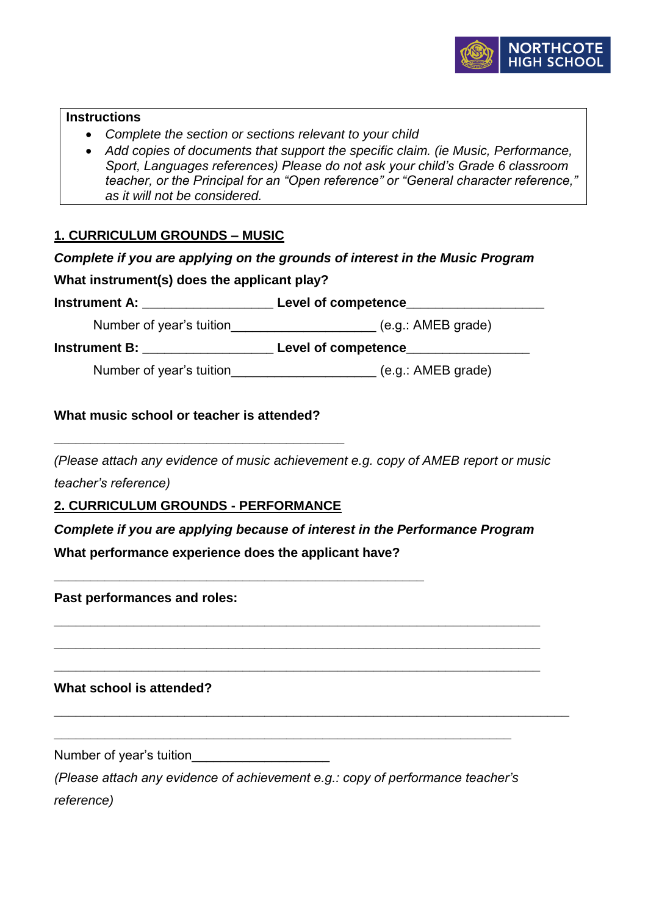

#### **Instructions**

- *Complete the section or sections relevant to your child*
- *Add copies of documents that support the specific claim. (ie Music, Performance, Sport, Languages references) Please do not ask your child's Grade 6 classroom teacher, or the Principal for an "Open reference" or "General character reference," as it will not be considered.*

# **1. CURRICULUM GROUNDS – MUSIC**

|  |  |  |  | Complete if you are applying on the grounds of interest in the Music Program |
|--|--|--|--|------------------------------------------------------------------------------|
|--|--|--|--|------------------------------------------------------------------------------|

#### **What instrument(s) does the applicant play?**

**Instrument A: \_\_\_\_\_\_\_\_\_\_\_\_\_\_\_\_\_\_ Level of competence\_\_\_\_\_\_\_\_\_\_\_\_\_\_\_\_\_\_\_**

Number of year's tuition  $($ e.g.: AMEB grade)

**Instrument B: \_\_\_\_\_\_\_\_\_\_\_\_\_\_\_\_\_\_\_\_\_\_ Level of competence\_\_\_\_\_\_\_\_\_\_\_\_\_\_\_\_\_\_\_\_\_\_** 

Number of year's tuition\_\_\_\_\_\_\_\_\_\_\_\_\_\_\_\_\_\_\_\_\_\_\_\_\_\_ (e.g.: AMEB grade)

#### **What music school or teacher is attended?**

*(Please attach any evidence of music achievement e.g. copy of AMEB report or music* 

*teacher's reference)*

**2. CURRICULUM GROUNDS - PERFORMANCE**

**\_\_\_\_\_\_\_\_\_\_\_\_\_\_\_\_\_\_\_\_\_\_\_\_\_\_\_\_\_\_\_\_\_\_\_\_\_\_\_\_\_\_\_\_\_\_\_\_\_\_\_**

**\_\_\_\_\_\_\_\_\_\_\_\_\_\_\_\_\_\_\_\_\_\_\_\_\_\_\_\_\_\_\_\_\_\_\_\_\_\_\_\_**

*Complete if you are applying because of interest in the Performance Program* **What performance experience does the applicant have?** 

**\_\_\_\_\_\_\_\_\_\_\_\_\_\_\_\_\_\_\_\_\_\_\_\_\_\_\_\_\_\_\_\_\_\_\_\_\_\_\_\_\_\_\_\_\_\_\_\_\_\_\_\_\_\_\_\_\_\_\_\_\_\_\_\_\_\_\_**

**\_\_\_\_\_\_\_\_\_\_\_\_\_\_\_\_\_\_\_\_\_\_\_\_\_\_\_\_\_\_\_\_\_\_\_\_\_\_\_\_\_\_\_\_\_\_\_\_\_\_\_\_\_\_\_\_\_\_\_\_\_\_\_\_\_\_\_**

**\_\_\_\_\_\_\_\_\_\_\_\_\_\_\_\_\_\_\_\_\_\_\_\_\_\_\_\_\_\_\_\_\_\_\_\_\_\_\_\_\_\_\_\_\_\_\_\_\_\_\_\_\_\_\_\_\_\_\_\_\_\_\_\_\_\_\_**

**\_\_\_\_\_\_\_\_\_\_\_\_\_\_\_\_\_\_\_\_\_\_\_\_\_\_\_\_\_\_\_\_\_\_\_\_\_\_\_\_\_\_\_\_\_\_\_\_\_\_\_\_\_\_\_\_\_\_\_\_\_\_\_\_\_\_\_\_\_\_\_**

**Past performances and roles:** 

**What school is attended?** 

Number of year's tuition\_\_\_\_\_\_\_\_\_\_\_\_\_\_\_\_\_\_\_\_\_\_\_

*(Please attach any evidence of achievement e.g.: copy of performance teacher's reference)*

**\_\_\_\_\_\_\_\_\_\_\_\_\_\_\_\_\_\_\_\_\_\_\_\_\_\_\_\_\_\_\_\_\_\_\_\_\_\_\_\_\_\_\_\_\_\_\_\_\_\_\_\_\_\_\_\_\_\_\_\_\_\_\_**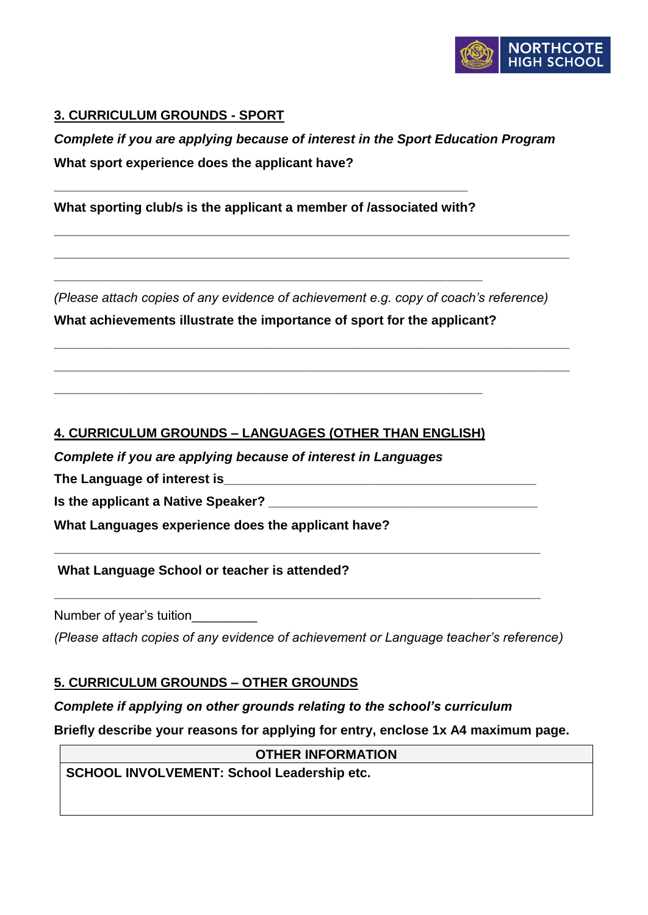

## **3. CURRICULUM GROUNDS - SPORT**

# *Complete if you are applying because of interest in the Sport Education Program* **What sport experience does the applicant have?**

**\_\_\_\_\_\_\_\_\_\_\_\_\_\_\_\_\_\_\_\_\_\_\_\_\_\_\_\_\_\_\_\_\_\_\_\_\_\_\_\_\_\_\_\_\_\_\_\_\_\_\_\_\_\_\_\_\_\_\_\_\_\_\_\_\_\_\_\_\_\_\_**

**\_\_\_\_\_\_\_\_\_\_\_\_\_\_\_\_\_\_\_\_\_\_\_\_\_\_\_\_\_\_\_\_\_\_\_\_\_\_\_\_\_\_\_\_\_\_\_\_\_\_\_\_\_\_\_\_\_\_\_\_\_\_\_\_\_\_\_\_\_\_\_**

**What sporting club/s is the applicant a member of /associated with?**

**\_\_\_\_\_\_\_\_\_\_\_\_\_\_\_\_\_\_\_\_\_\_\_\_\_\_\_\_\_\_\_\_\_\_\_\_\_\_\_\_\_\_\_\_\_\_\_\_\_\_\_\_\_\_\_\_\_\_\_**

**\_\_\_\_\_\_\_\_\_\_\_\_\_\_\_\_\_\_\_\_\_\_\_\_\_\_\_\_\_\_\_\_\_\_\_\_\_\_\_\_\_\_\_\_\_\_\_\_\_\_\_\_\_\_\_\_\_**

*(Please attach copies of any evidence of achievement e.g. copy of coach's reference)* **What achievements illustrate the importance of sport for the applicant?**

**\_\_\_\_\_\_\_\_\_\_\_\_\_\_\_\_\_\_\_\_\_\_\_\_\_\_\_\_\_\_\_\_\_\_\_\_\_\_\_\_\_\_\_\_\_\_\_\_\_\_\_\_\_\_\_\_\_\_\_\_\_\_\_\_\_\_\_\_\_\_\_**

**\_\_\_\_\_\_\_\_\_\_\_\_\_\_\_\_\_\_\_\_\_\_\_\_\_\_\_\_\_\_\_\_\_\_\_\_\_\_\_\_\_\_\_\_\_\_\_\_\_\_\_\_\_\_\_\_\_\_\_\_\_\_\_\_\_\_\_\_\_\_\_**

## **4. CURRICULUM GROUNDS – LANGUAGES (OTHER THAN ENGLISH)**

**\_\_\_\_\_\_\_\_\_\_\_\_\_\_\_\_\_\_\_\_\_\_\_\_\_\_\_\_\_\_\_\_\_\_\_\_\_\_\_\_\_\_\_\_\_\_\_\_\_\_\_\_\_\_\_\_\_\_\_**

*Complete if you are applying because of interest in Languages*

**The Language of interest is\_\_\_\_\_\_\_\_\_\_\_\_\_\_\_\_\_\_\_\_\_\_\_\_\_\_\_\_\_\_\_\_\_\_\_\_\_\_\_\_\_\_\_** 

**Is the applicant a Native Speaker? \_\_\_\_\_\_\_\_\_\_\_\_\_\_\_\_\_\_\_\_\_\_\_\_\_\_\_\_\_\_\_\_\_\_\_\_\_**

**What Languages experience does the applicant have?** 

**What Language School or teacher is attended?** 

Number of year's tuition\_\_\_\_\_\_\_\_\_

*(Please attach copies of any evidence of achievement or Language teacher's reference)*

**\_\_\_\_\_\_\_\_\_\_\_\_\_\_\_\_\_\_\_\_\_\_\_\_\_\_\_\_\_\_\_\_\_\_\_\_\_\_\_\_\_\_\_\_\_\_\_\_\_\_\_\_\_\_\_\_\_\_\_\_\_\_\_\_\_\_\_**

**\_\_\_\_\_\_\_\_\_\_\_\_\_\_\_\_\_\_\_\_\_\_\_\_\_\_\_\_\_\_\_\_\_\_\_\_\_\_\_\_\_\_\_\_\_\_\_\_\_\_\_\_\_\_\_\_\_\_\_\_\_\_\_\_\_\_\_**

#### **5. CURRICULUM GROUNDS – OTHER GROUNDS**

#### *Complete if applying on other grounds relating to the school's curriculum*

**Briefly describe your reasons for applying for entry, enclose 1x A4 maximum page.** 

**OTHER INFORMATION SCHOOL INVOLVEMENT: School Leadership etc.**